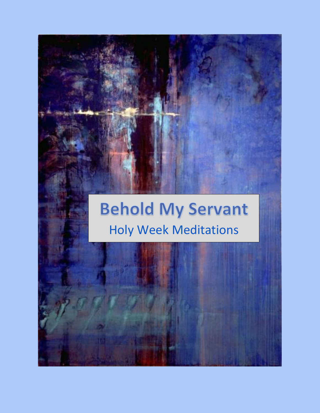# **Behold My Servant** Holy Week Meditations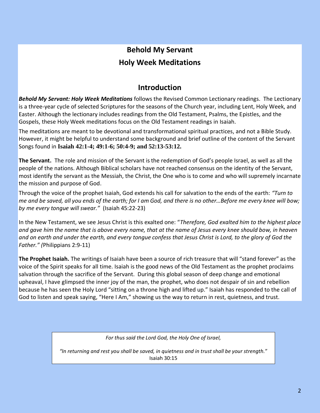# **Behold My Servant Holy Week Meditations**

### **Introduction**

*Behold My Servant: Holy Week Meditations* follows the Revised Common Lectionary readings. The Lectionary is a three-year cycle of selected Scriptures for the seasons of the Church year, including Lent, Holy Week, and Easter. Although the lectionary includes readings from the Old Testament, Psalms, the Epistles, and the Gospels, these Holy Week meditations focus on the Old Testament readings in Isaiah.

The meditations are meant to be devotional and transformational spiritual practices, and not a Bible Study. However, it might be helpful to understand some background and brief outline of the content of the Servant Songs found in **Isaiah 42:1-4; 49:1-6; 50:4-9; and 52:13-53:12.**

**The Servant.** The role and mission of the Servant is the redemption of God's people Israel, as well as all the people of the nations. Although Biblical scholars have not reached consensus on the identity of the Servant, most identify the servant as the Messiah, the Christ, the One who is to come and who will supremely incarnate the mission and purpose of God.

Through the voice of the prophet Isaiah, God extends his call for salvation to the ends of the earth: *"Turn to me and be saved, all you ends of the earth; for I am God, and there is no other…Before me every knee will bow; by me every tongue will swear."* (Isaiah 45:22-23)

In the New Testament, we see Jesus Christ is this exalted one: "*Therefore, God exalted him to the highest place and gave him the name that is above every name, that at the name of Jesus every knee should bow, in heaven and on earth and under the earth, and every tongue confess that Jesus Christ is Lord, to the glory of God the Father." (*Philippians 2:9-11)

**The Prophet Isaiah.** The writings of Isaiah have been a source of rich treasure that will "stand forever" as the voice of the Spirit speaks for all time. Isaiah is the good news of the Old Testament as the prophet proclaims salvation through the sacrifice of the Servant. During this global season of deep change and emotional upheaval, I have glimpsed the inner joy of the man, the prophet, who does not despair of sin and rebellion because he has seen the Holy Lord "sitting on a throne high and lifted up." Isaiah has responded to the call of God to listen and speak saying, "Here I Am," showing us the way to return in rest, quietness, and trust.

*For thus said the Lord God, the Holy One of Israel,* 

*"In returning and rest you shall be saved, in quietness and in trust shall be your strength.*" Isaiah 30:15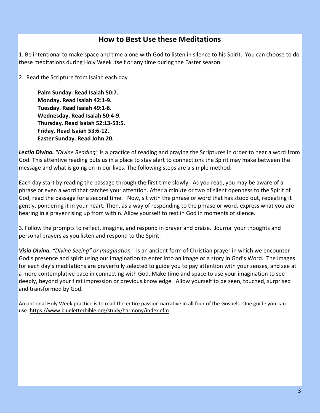### **How to Best Use these Meditations**

1. Be intentional to make space and time alone with God to listen in silence to his Spirit. You can choose to do these meditations during Holy Week itself or any time during the Easter season.

2. Read the Scripture from Isaiah each day

**Palm Sunday. Read Isaiah 50:7. Monday. Read Isaiah 42:1-9. Tuesday. Read Isaiah 49:1-6. Wednesday. Read Isaiah 50:4-9. Thursday. Read Isaiah 52:13-53:5. Friday. Read Isaiah 53:6-12. Easter Sunday. Read John 20.**

*Lectio Divina. "Divine Reading"* is a practice of reading and praying the Scriptures in order to hear a word from God. This attentive reading puts us in a place to stay alert to connections the Spirit may make between the message and what is going on in our lives. The following steps are a simple method:

Each day start by reading the passage through the first time slowly. As you read, you may be aware of a phrase or even a word that catches your attention. After a minute or two of silent openness to the Spirit of God, read the passage for a second time. Now, sit with the phrase or word that has stood out, repeating it gently, pondering it in your heart. Then, as a way of responding to the phrase or word, express what you are hearing in a prayer rising up from within. Allow yourself to rest in God in moments of silence.

3. Follow the prompts to reflect, imagine, and respond in prayer and praise. Journal your thoughts and personal prayers as you listen and respond to the Spirit.

*Visio Divina. "Divine Seeing" or Imagination* " is an ancient form of Christian prayer in which we encounter God's presence and spirit using our imagination to enter into an image or a story in God's Word. The images for each day's meditations are prayerfully selected to guide you to pay attention with your senses, and see at a more contemplative pace in connecting with God. Make time and space to use your imagination to see deeply, beyond your first impression or previous knowledge. Allow yourself to be seen, touched, surprised and transformed by God.

An optional Holy Week practice is to read the entire passion narrative in all four of the Gospels. One guide you can use: <https://www.blueletterbible.org/study/harmony/index.cfm>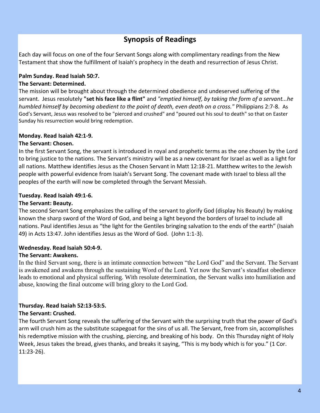### **Synopsis of Readings**

Each day will focus on one of the four Servant Songs along with complimentary readings from the New Testament that show the fulfillment of Isaiah's prophecy in the death and resurrection of Jesus Christ.

#### **Palm Sunday. Read Isaiah 50:7.**

#### **The Servant: Determined.**

The mission will be brought about through the determined obedience and undeserved suffering of the servant. Jesus resolutely **"set his face like a flint"** and *"emptied himself, by taking the form of a servant...he humbled himself by becoming obedient to the point of death, even death on a cross."* Philippians 2:7-8. As God's Servant, Jesus was resolved to be "pierced and crushed" and "poured out his soul to death" so that on Easter Sunday his resurrection would bring redemption.

#### **Monday. Read Isaiah 42:1-9.**

#### **The Servant: Chosen.**

In the first Servant Song, the servant is introduced in royal and prophetic terms as the one chosen by the Lord to bring justice to the nations. The Servant's ministry will be as a new covenant for Israel as well as a light for all nations. Matthew identifies Jesus as the Chosen Servant in Matt 12:18-21. Matthew writes to the Jewish people with powerful evidence from Isaiah's Servant Song. The covenant made with Israel to bless all the peoples of the earth will now be completed through the Servant Messiah.

#### **Tuesday. Read Isaiah 49:1-6.**

#### **The Servant: Beauty.**

The second Servant Song emphasizes the calling of the servant to glorify God (display his Beauty) by making known the sharp sword of the Word of God, and being a light beyond the borders of Israel to include all nations. Paul identifies Jesus as "the light for the Gentiles bringing salvation to the ends of the earth" (Isaiah 49) in Acts 13:47. John identifies Jesus as the Word of God. (John 1:1-3).

### **Wednesday. Read Isaiah 50:4-9.**

#### **The Servant: Awakens.**

In the third Servant song, there is an intimate connection between "the Lord God" and the Servant. The Servant is awakened and awakens through the sustaining Word of the Lord. Yet now the Servant's steadfast obedience leads to emotional and physical suffering. With resolute determination, the Servant walks into humiliation and abuse, knowing the final outcome will bring glory to the Lord God.

#### **Thursday. Read Isaiah 52:13-53:5. The Servant: Crushed.**

The fourth Servant Song reveals the suffering of the Servant with the surprising truth that the power of God's arm will crush him as the substitute scapegoat for the sins of us all. The Servant, free from sin, accomplishes his redemptive mission with the crushing, piercing, and breaking of his body. On this Thursday night of Holy Week, Jesus takes the bread, gives thanks, and breaks it saying, "This is my body which is for you." (1 Cor. 11:23-26).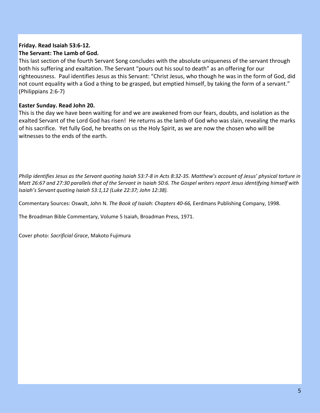#### **Friday. Read Isaiah 53:6-12. The Servant: The Lamb of God.**

This last section of the fourth Servant Song concludes with the absolute uniqueness of the servant through both his suffering and exaltation. The Servant "pours out his soul to death" as an offering for our righteousness. Paul identifies Jesus as this Servant: "Christ Jesus, who though he was in the form of God, did not count equality with a God a thing to be grasped, but emptied himself, by taking the form of a servant." (Philippians 2:6-7)

#### **Easter Sunday. Read John 20.**

This is the day we have been waiting for and we are awakened from our fears, doubts, and isolation as the exalted Servant of the Lord God has risen! He returns as the lamb of God who was slain, revealing the marks of his sacrifice. Yet fully God, he breaths on us the Holy Spirit, as we are now the chosen who will be witnesses to the ends of the earth.

*Philip identifies Jesus as the Servant quoting Isaiah 53:7-8 in Acts 8:32-35. Matthew's account of Jesus' physical torture in Matt 26:67 and 27:30 parallels that of the Servant in Isaiah 50:6. The Gospel writers report Jesus identifying himself with Isaiah's Servant quoting Isaiah 53:1,12 (Luke 22:37; John 12:38).*

Commentary Sources: Oswalt, John N. *The Book of Isaiah: Chapters 40-66,* Eerdmans Publishing Company, 1998.

The Broadman Bible Commentary, Volume 5 Isaiah, Broadman Press, 1971.

Cover photo: *Sacrificial Grace*, Makoto Fujimura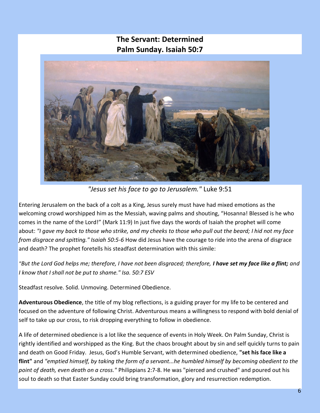### **The Servant: Determined Palm Sunday. Isaiah 50:7**



*"Jesus set his face to go to Jerusalem."* Luke 9:51

Entering Jerusalem on the back of a colt as a King, Jesus surely must have had mixed emotions as the welcoming crowd worshipped him as the Messiah, waving palms and shouting, "Hosanna! Blessed is he who comes in the name of the Lord!" (Mark 11:9) In just five days the words of Isaiah the prophet will come about: *"I gave my back to those who strike, and my cheeks to those who pull out the beard; I hid not my face from disgrace and spitting." Isaiah 50:5-6* How did Jesus have the courage to ride into the arena of disgrace and death? The prophet foretells his steadfast determination with this simile:

*"But the Lord God helps me; therefore, I have not been disgraced; therefore, I have set my face like a flint; and I know that I shall not be put to shame." Isa. 50:7 ESV*

Steadfast resolve. Solid. Unmoving. Determined Obedience.

**Adventurous Obedience**, the title of my blog reflections, is a guiding prayer for my life to be centered and focused on the adventure of following Christ. Adventurous means a willingness to respond with bold denial of self to take up our cross, to risk dropping everything to follow in obedience.

A life of determined obedience is a lot like the sequence of events in Holy Week. On Palm Sunday, Christ is rightly identified and worshipped as the King. But the chaos brought about by sin and self quickly turns to pain and death on Good Friday. Jesus, God's Humble Servant, with determined obedience, **"set his face like a flint"** and *"emptied himself, by taking the form of a servant...he humbled himself by becoming obedient to the point of death, even death on a cross."* Philippians 2:7-8. He was "pierced and crushed" and poured out his soul to death so that Easter Sunday could bring transformation, glory and resurrection redemption.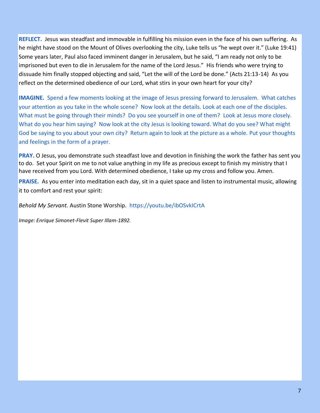**REFLECT.** Jesus was steadfast and immovable in fulfilling his mission even in the face of his own suffering. As he might have stood on the Mount of Olives overlooking the city, Luke tells us "he wept over it." (Luke 19:41) Some years later, Paul also faced imminent danger in Jerusalem, but he said, "I am ready not only to be imprisoned but even to die in Jerusalem for the name of the Lord Jesus." His friends who were trying to dissuade him finally stopped objecting and said, "Let the will of the Lord be done." (Acts 21:13-14) As you reflect on the determined obedience of our Lord, what stirs in your own heart for your city?

**IMAGINE.** Spend a few moments looking at the image of Jesus pressing forward to Jerusalem. What catches your attention as you take in the whole scene? Now look at the details. Look at each one of the disciples. What must be going through their minds? Do you see yourself in one of them? Look at Jesus more closely. What do you hear him saying? Now look at the city Jesus is looking toward. What do you see? What might God be saying to you about your own city? Return again to look at the picture as a whole. Put your thoughts and feelings in the form of a prayer.

**PRAY.** O Jesus, you demonstrate such steadfast love and devotion in finishing the work the father has sent you to do. Set your Spirit on me to not value anything in my life as precious except to finish my ministry that I have received from you Lord. With determined obedience, I take up my cross and follow you. Amen.

**PRAISE.** As you enter into meditation each day, sit in a quiet space and listen to instrumental music, allowing it to comfort and rest your spirit:

*Behold My Servant.* Austin Stone Worship. https://youtu.be/ibOSvkICrtA

*Image: Enrique Simonet-Flevit Super Illam-1892.*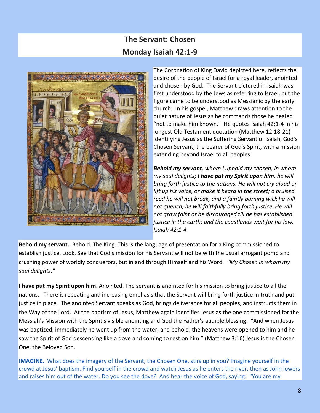### **The Servant: Chosen Monday Isaiah 42:1-9**



The Coronation of King David depicted here, reflects the desire of the people of Israel for a royal leader, anointed and chosen by God. The Servant pictured in Isaiah was first understood by the Jews as referring to Israel, but the figure came to be understood as Messianic by the early church. In his gospel, Matthew draws attention to the quiet nature of Jesus as he commands those he healed "not to make him known." He quotes Isaiah 42:1-4 in his longest Old Testament quotation (Matthew 12:18-21) identifying Jesus as the Suffering Servant of Isaiah, God's Chosen Servant, the bearer of God's Spirit, with a mission extending beyond Israel to all peoples:

*Behold my servant, whom I uphold my chosen, in whom my soul delights; I have put my Spirit upon him, he will bring forth justice to the nations. He will not cry aloud or lift up his voice, or make it heard in the street; a bruised reed he will not break, and a faintly burning wick he will not quench; he will faithfully bring forth justice. He will not grow faint or be discouraged till he has established justice in the earth; and the coastlands wait for his law. Isaiah 42:1-4*

**Behold my servant.** Behold. The King. This is the language of presentation for a King commissioned to establish justice. Look. See that God's mission for his Servant will not be with the usual arrogant pomp and crushing power of worldly conquerors, but in and through Himself and his Word. *"My Chosen in whom my soul delights."*

**I have put my Spirit upon him**. Anointed. The servant is anointed for his mission to bring justice to all the nations. There is repeating and increasing emphasis that the Servant will bring forth justice in truth and put justice in place. The anointed Servant speaks as God, brings deliverance for all peoples, and instructs them in the Way of the Lord. At the baptism of Jesus, Matthew again identifies Jesus as the one commissioned for the Messiah's Mission with the Spirit's visible anointing and God the Father's audible blessing. "And when Jesus was baptized, immediately he went up from the water, and behold, the heavens were opened to him and he saw the Spirit of God descending like a dove and coming to rest on him." (Matthew 3:16) Jesus is the Chosen One, the Beloved Son.

**IMAGINE.** What does the imagery of the Servant, the Chosen One, stirs up in you? Imagine yourself in the crowd at Jesus' baptism. Find yourself in the crowd and watch Jesus as he enters the river, then as John lowers and raises him out of the water. Do you see the dove? And hear the voice of God, saying: "You are my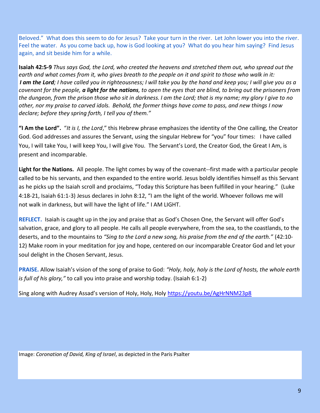Beloved." What does this seem to do for Jesus? Take your turn in the river. Let John lower you into the river. Feel the water. As you come back up, how is God looking at you? What do you hear him saying? Find Jesus again, and sit beside him for a while.

**Isaiah 42:5-9** *Thus says God, the Lord, who created the heavens and stretched them out, who spread out the earth and what comes from it, who gives breath to the people on it and spirit to those who walk in it: I am the Lord; I have called you in righteousness; I will take you by the hand and keep you; I will give you as a covenant for the people, a light for the nations, to open the eyes that are blind, to bring out the prisoners from the dungeon, from the prison those who sit in darkness. I am the Lord; that is my name; my glory I give to no other, nor my praise to carved idols. Behold, the former things have come to pass, and new things I now declare; before they spring forth, I tell you of them."*

**"I Am the Lord".** "*It is I, the Lord*," this Hebrew phrase emphasizes the identity of the One calling, the Creator God. God addresses and assures the Servant, using the singular Hebrew for "you" four times: I have called You, I will take You, I will keep You, I will give You. The Servant's Lord, the Creator God, the Great I Am, is present and incomparable.

**Light for the Nations.** All people. The light comes by way of the covenant--first made with a particular people called to be his servants, and then expanded to the entire world. Jesus boldly identifies himself as this Servant as he picks up the Isaiah scroll and proclaims, "Today this Scripture has been fulfilled in your hearing." (Luke 4:18-21, Isaiah 61:1-3) Jesus declares in John 8:12, "I am the light of the world. Whoever follows me will not walk in darkness, but will have the light of life." I AM LIGHT.

**REFLECT.** Isaiah is caught up in the joy and praise that as God's Chosen One, the Servant will offer God's salvation, grace, and glory to all people. He calls all people everywhere, from the sea, to the coastlands, to the deserts, and to the mountains to *"Sing to the Lord a new song, his praise from the end of the earth."* (42:10- 12) Make room in your meditation for joy and hope, centered on our incomparable Creator God and let your soul delight in the Chosen Servant, Jesus.

**PRAISE.** Allow Isaiah's vision of the song of praise to God: *"Holy, holy, holy is the Lord of hosts, the whole earth is full of his glory,"* to call you into praise and worship today. (Isaiah 6:1-2)

Sing along with Audrey Assad's version of Holy, Holy, Holy <https://youtu.be/AgHrNNM23p8>

Image: *Coronation of David, King of Israel*, as depicted in the Paris Psalter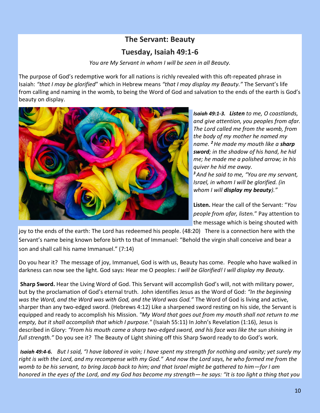## **The Servant: Beauty Tuesday, Isaiah 49:1-6**

*You are My Servant in whom I will be seen in all Beauty.*

The purpose of God's redemptive work for all nations is richly revealed with this oft-repeated phrase in Isaiah: *"that I may be glorified*" which in Hebrew means *"that I may display my Beauty."* The Servant's life from calling and naming in the womb, to being the Word of God and salvation to the ends of the earth is God's beauty on display.



*Isaiah 49:1-3. Listen to me, O coastlands, and give attention, you peoples from afar. The Lord called me from the womb, from the body of my mother he named my name. <sup>2</sup>He made my mouth like a sharp sword; in the shadow of his hand, he hid me; he made me a polished arrow; in his quiver he hid me away. <sup>3</sup>And he said to me, "You are my servant, Israel, in whom I will be glorified. (in* 

**Listen.** Hear the call of the Servant: "*You people from afar, listen.*" Pay attention to the message which is being shouted with

joy to the ends of the earth: The Lord has redeemed his people. (48:20) There is a connection here with the Servant's name being known before birth to that of Immanuel: "Behold the virgin shall conceive and bear a son and shall call his name Immanuel." (7:14)

Do you hear it? The message of joy, Immanuel, God is with us, Beauty has come. People who have walked in darkness can now see the light. God says: Hear me O peoples: *I will be Glorified! I will display my Beauty.*

**Sharp Sword.** Hear the Living Word of God. This Servant will accomplish God's will, not with military power, but by the proclamation of God's eternal truth. John identifies Jesus as the Word of God: *"In the beginning was the Word, and the Word was with God, and the Word was God."* The Word of God is living and active, sharper than any two-edged sword. (Hebrews 4:12) Like a sharpened sword resting on his side, the Servant is equipped and ready to accomplish his Mission. *"My Word that goes out from my mouth shall not return to me empty, but it shall accomplish that which I purpose."* (Isaiah 55:11) In John's Revelation (1:16), Jesus is described in Glory: *"From his mouth came a sharp two-edged sword, and his face was like the sun shining in full strength."* Do you see it? The Beauty of Light shining off this Sharp Sword ready to do God's work.

*Isaiah 49:4-6. But I said, "I have labored in vain; I have spent my strength for nothing and vanity; yet surely my right is with the Lord, and my recompense with my God." And now the Lord says, he who formed me from the womb to be his servant, to bring Jacob back to him; and that Israel might be gathered to him—for I am honored in the eyes of the Lord, and my God has become my strength—he says: "It is too light a thing that you*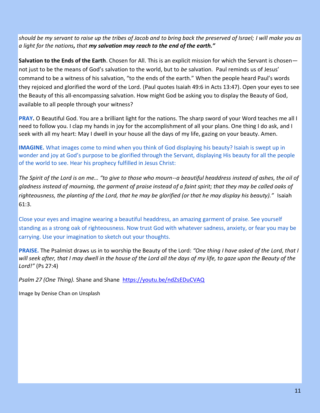*should be my servant to raise up the tribes of Jacob and to bring back the preserved of Israel; I will make you as a light for the nations, that my salvation may reach to the end of the earth."*

**Salvation to the Ends of the Earth**. Chosen for All. This is an explicit mission for which the Servant is chosen not just to be the means of God's salvation to the world, but to *be* salvation. Paul reminds us of Jesus' command to be a witness of his salvation, "to the ends of the earth." When the people heard Paul's words they rejoiced and glorified the word of the Lord. (Paul quotes Isaiah 49:6 in Acts 13:47). Open your eyes to see the Beauty of this all-encompassing salvation. How might God be asking you to display the Beauty of God, available to all people through your witness?

**PRAY.** O Beautiful God. You are a brilliant light for the nations. The sharp sword of your Word teaches me all I need to follow you. I clap my hands in joy for the accomplishment of all your plans. One thing I do ask, and I seek with all my heart: May I dwell in your house all the days of my life, gazing on your beauty. Amen.

**IMAGINE.** What images come to mind when you think of God displaying his beauty? Isaiah is swept up in wonder and joy at God's purpose to be glorified through the Servant, displaying His beauty for all the people of the world to see. Hear his prophecy fulfilled in Jesus Christ:

*The Spirit of the Lord is on me… "to give to those who mourn--a beautiful headdress instead of ashes, the oil of gladness instead of mourning, the garment of praise instead of a faint spirit; that they may be called oaks of righteousness, the planting of the Lord, that he may be glorified (or that he may display his beauty)."* Isaiah 61:3.

Close your eyes and imagine wearing a beautiful headdress, an amazing garment of praise. See yourself standing as a strong oak of righteousness. Now trust God with whatever sadness, anxiety, or fear you may be carrying. Use your imagination to sketch out your thoughts.

**PRAISE.** The Psalmist draws us in to worship the Beauty of the Lord: *"One thing I have asked of the Lord, that I*  will seek after, that I may dwell in the house of the Lord all the days of my life, to gaze upon the Beauty of the *Lord!"* (Ps 27:4)

Psalm 27 (One Thing). Shane and Shane <https://youtu.be/ndZsEDuCVAQ>

Image by Denise Chan on Unsplash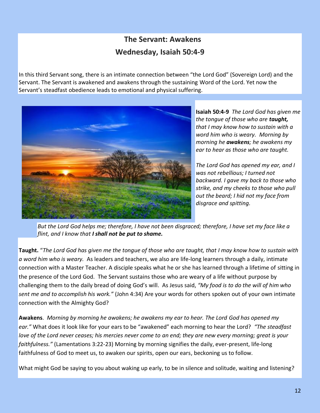# **The Servant: Awakens Wednesday, Isaiah 50:4-9**

In this third Servant song, there is an intimate connection between "the Lord God" (Sovereign Lord) and the Servant. The Servant is awakened and awakens through the sustaining Word of the Lord. Yet now the Servant's steadfast obedience leads to emotional and physical suffering.



**Isaiah 50:4-9** *The Lord God has given me the tongue of those who are taught, that I may know how to sustain with a word him who is weary. Morning by morning he awakens; he awakens my ear to hear as those who are taught.*

*The Lord God has opened my ear, and I was not rebellious; I turned not backward. I gave my back to those who strike, and my cheeks to those who pull out the beard; I hid not my face from disgrace and spitting.*

*But the Lord God helps me; therefore, I have not been disgraced; therefore, I have set my face like a flint, and I know that I shall not be put to shame.* 

**Taught.** "*The Lord God has given me the tongue of those who are taught, that I may know how to sustain with a word him who is weary.* As leaders and teachers, we also are life-long learners through a daily, intimate connection with a Master Teacher. A disciple speaks what he or she has learned through a lifetime of sitting in the presence of the Lord God. The Servant sustains those who are weary of a life without purpose by challenging them to the daily bread of doing God's will. As Jesus said, *"My food is to do the will of him who sent me and to accomplish his work."* (John 4:34) Are your words for others spoken out of your own intimate connection with the Almighty God?

**Awakens**. *Morning by morning he awakens; he awakens my ear to hear. The Lord God has opened my ear."* What does it look like for your ears to be "awakened" each morning to hear the Lord? *"The steadfast love of the Lord never ceases; his mercies never come to an end; they are new every morning; great is your faithfulness."* (Lamentations 3:22-23) Morning by morning signifies the daily, ever-present, life-long faithfulness of God to meet us, to awaken our spirits, open our ears, beckoning us to follow.

What might God be saying to you about waking up early, to be in silence and solitude, waiting and listening?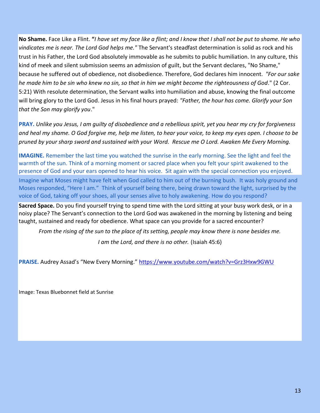**No Shame.** Face Like a Flint. **"***I have set my face like a flint; and I know that I shall not be put to shame. He who vindicates me is near. The Lord God helps me."* The Servant's steadfast determination is solid as rock and his trust in his Father, the Lord God absolutely immovable as he submits to public humiliation. In any culture, this kind of meek and silent submission seems an admission of guilt, but the Servant declares, "No Shame," because he suffered out of obedience, not disobedience. Therefore, God declares him innocent. *"For our sake he made him to be sin who knew no sin, so that in him we might become the righteousness of God*." (2 Cor. 5:21) With resolute determination, the Servant walks into humiliation and abuse, knowing the final outcome will bring glory to the Lord God. Jesus in his final hours prayed: *"Father, the hour has come. Glorify your Son that the Son may glorify you*."

**PRAY.** *Unlike you Jesus, I am guilty of disobedience and a rebellious spirit, yet you hear my cry for forgiveness and heal my shame. O God forgive me, help me listen, to hear your voice, to keep my eyes open. I choose to be pruned by your sharp sword and sustained with your Word. Rescue me O Lord. Awaken Me Every Morning.*

**IMAGINE.** Remember the last time you watched the sunrise in the early morning. See the light and feel the warmth of the sun. Think of a morning moment or sacred place when you felt your spirit awakened to the presence of God and your ears opened to hear his voice. Sit again with the special connection you enjoyed. Imagine what Moses might have felt when God called to him out of the burning bush. It was holy ground and Moses responded, "Here I am." Think of yourself being there, being drawn toward the light, surprised by the voice of God, taking off your shoes, all your senses alive to holy awakening. How do you respond?

**Sacred Space.** Do you find yourself trying to spend time with the Lord sitting at your busy work desk, or in a noisy place? The Servant's connection to the Lord God was awakened in the morning by listening and being taught, sustained and ready for obedience. What space can you provide for a sacred encounter?

*From the rising of the sun to the place of its setting, people may know there is none besides me.* 

*I am the Lord, and there is no other.* (Isaiah 45:6)

PRAISE. Audrey Assad's "New Every Morning." <https://www.youtube.com/watch?v=Grz3Hxw9GWU>

Image: Texas Bluebonnet field at Sunrise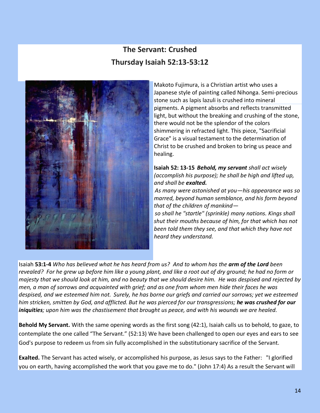# **The Servant: Crushed Thursday Isaiah 52:13-53:12**



Makoto Fujimura, is a Christian artist who uses a Japanese style of painting called Nihonga. Semi-precious stone such as lapis lazuli is crushed into mineral pigments. A pigment absorbs and reflects transmitted light, but without the breaking and crushing of the stone, there would not be the splendor of the colors shimmering in refracted light. This piece, "Sacrificial Grace" is a visual testament to the determination of Christ to be crushed and broken to bring us peace and healing.

#### **Isaiah 52: 13-15** *Behold, my servant shall act wisely (accomplish his purpose); he shall be high and lifted up, and shall be exalted.*

*As many were astonished at you—his appearance was so marred, beyond human semblance, and his form beyond that of the children of mankind—*

*so shall he "startle" (sprinkle) many nations. Kings shall shut their mouths because of him, for that which has not been told them they see, and that which they have not heard they understand.*

Isaiah **53:1-4** *Who has believed what he has heard from us? And to whom has the arm of the Lord been revealed? For he grew up before him like a young plant, and like a root out of dry ground; he had no form or majesty that we should look at him, and no beauty that we should desire him. He was despised and rejected by men, a man of sorrows and acquainted with grief; and as one from whom men hide their faces he was despised, and we esteemed him not. Surely, he has borne our griefs and carried our sorrows; yet we esteemed him stricken, smitten by God, and afflicted. But he was pierced for our transgressions; he was crushed for our iniquities; upon him was the chastisement that brought us peace, and with his wounds we are healed.*

**Behold My Servant.** With the same opening words as the first song (42:1), Isaiah calls us to behold, to gaze, to contemplate the one called "The Servant." (52:13) We have been challenged to open our eyes and ears to see God's purpose to redeem us from sin fully accomplished in the substitutionary sacrifice of the Servant.

**Exalted.** The Servant has acted wisely, or accomplished his purpose, as Jesus says to the Father: "I glorified you on earth, having accomplished the work that you gave me to do." (John 17:4) As a result the Servant will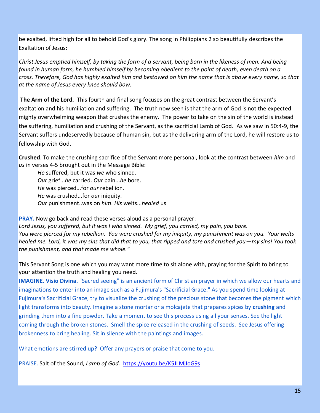be exalted, lifted high for all to behold God's glory. The song in Philippians 2 so beautifully describes the Exaltation of Jesus:

*Christ Jesus emptied himself, by taking the form of a servant, being born in the likeness of men. And being found in human form, he humbled himself by becoming obedient to the point of death, even death on a cross. Therefore, God has highly exalted him and bestowed on him the name that is above every name, so that at the name of Jesus every knee should bow.*

**The Arm of the Lord.** This fourth and final song focuses on the great contrast between the Servant's exaltation and his humiliation and suffering. The truth now seen is that the arm of God is not the expected mighty overwhelming weapon that crushes the enemy. The power to take on the sin of the world is instead the suffering, humiliation and crushing of the Servant, as the sacrificial Lamb of God. As we saw in 50:4-9, the Servant suffers undeservedly because of human sin, but as the delivering arm of the Lord, he will restore us to fellowship with God.

**Crushed**. To make the crushing sacrifice of the Servant more personal, look at the contrast between *him* and *us* in verses 4-5 brought out in the Message Bible:

*He* suffered, but it was *we* who sinned. *Our* grief...*he* carried. *Our* pain...*he* bore. *He* was pierced...for *our* rebellion. *He* was crushed...for *our* iniquity. *Our* punishment..was on *him*. *His* welts...*healed* us

**PRAY.** Now go back and read these verses aloud as a personal prayer:

*Lord Jesus, you suffered, but it was I who sinned. My grief, you carried, my pain, you bore. You were pierced for my rebellion. You were crushed for my iniquity, my punishment was on you. Your welts healed me. Lord, it was my sins that did that to you, that ripped and tore and crushed you—my sins! You took the punishment, and that made me whole."*

This Servant Song is one which you may want more time to sit alone with, praying for the Spirit to bring to your attention the truth and healing you need.

**IMAGINE. Visio Divina.** "Sacred seeing" is an ancient form of Christian prayer in which we allow our hearts and imaginations to enter into an image such as a Fujimura's "Sacrificial Grace." As you spend time looking at Fujimura's Sacrificial Grace, try to visualize the crushing of the precious stone that becomes the pigment which light transforms into beauty. Imagine a stone mortar or a molcajete that prepares spices by **crushing** and grinding them into a fine powder. Take a moment to see this process using all your senses. See the light coming through the broken stones. Smell the spice released in the crushing of seeds. See Jesus offering brokenness to bring healing. Sit in silence with the paintings and images.

What emotions are stirred up? Offer any prayers or praise that come to you.

PRAISE. Salt of the Sound, *Lamb of God.* <https://youtu.be/K5JLMjIoG9s>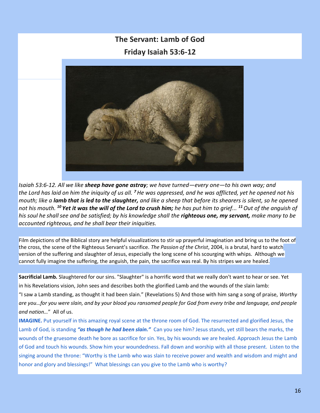# **The Servant: Lamb of God Friday Isaiah 53:6-12**



*Isaiah 53:6-12. All we like sheep have gone astray; we have turned—every one—to his own way; and the Lord has laid on him the iniquity of us all. <sup>7</sup>He was oppressed, and he was afflicted, yet he opened not his mouth; like a lamb that is led to the slaughter, and like a sheep that before its shearers is silent, so he opened not his mouth. <sup>10</sup> Yet it was the will of the Lord to crush him; he has put him to grief... <sup>11</sup>Out of the anguish of his soul he shall see and be satisfied; by his knowledge shall the righteous one, my servant, make many to be accounted righteous, and he shall bear their iniquities.*

Film depictions of the Biblical story are helpful visualizations to stir up prayerful imagination and bring us to the foot of the cross, the scene of the Righteous Servant's sacrifice. *The Passion of the Christ*, 2004, is a brutal, hard to watch version of the suffering and slaughter of Jesus, especially the long scene of his scourging with whips. Although we cannot fully imagine the suffering, the anguish, the pain, the sacrifice was real. By his stripes we are healed.

**Sacrificial Lamb.** Slaughtered for our sins. "Slaughter" is a horrific word that we really don't want to hear or see. Yet in his Revelations vision, John sees and describes both the glorified Lamb and the wounds of the slain lamb:

"I saw a Lamb standing, as thought it had been slain." (Revelations 5) And those with him sang a song of praise, *Worthy are you…for you were slain, and by your blood you ransomed people for God from every tribe and language, and people and nation…*" All of us.

**IMAGINE.** Put yourself in this amazing royal scene at the throne room of God. The resurrected and glorified Jesus, the Lamb of God, is standing *"as though he had been slain."* Can you see him? Jesus stands, yet still bears the marks, the wounds of the gruesome death he bore as sacrifice for sin. Yes, by his wounds we are healed. Approach Jesus the Lamb of God and touch his wounds. Show him your woundedness. Fall down and worship with all those present. Listen to the singing around the throne: "Worthy is the Lamb who was slain to receive power and wealth and wisdom and might and honor and glory and blessings!" What blessings can you give to the Lamb who is worthy?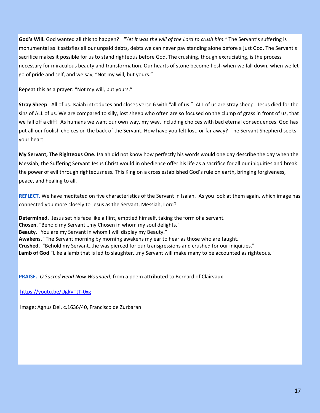**God's Will.** God wanted all this to happen?! *"Yet it was the will of the Lord to crush him."* The Servant's suffering is monumental as it satisfies all our unpaid debts, debts we can never pay standing alone before a just God. The Servant's sacrifice makes it possible for us to stand righteous before God. The crushing, though excruciating, is the process necessary for miraculous beauty and transformation. Our hearts of stone become flesh when we fall down, when we let go of pride and self, and we say, "Not my will, but yours."

Repeat this as a prayer: "Not my will, but yours."

**Stray Sheep**. All of us. Isaiah introduces and closes verse 6 with "all of us." ALL of us are stray sheep. Jesus died for the sins of ALL of us. We are compared to silly, lost sheep who often are so focused on the clump of grass in front of us, that we fall off a cliff! As humans we want our own way, my way, including choices with bad eternal consequences. God has put all our foolish choices on the back of the Servant. How have you felt lost, or far away? The Servant Shepherd seeks your heart.

**My Servant, The Righteous One.** Isaiah did not know how perfectly his words would one day describe the day when the Messiah, the Suffering Servant Jesus Christ would in obedience offer his life as a sacrifice for all our iniquities and break the power of evil through righteousness. This King on a cross established God's rule on earth, bringing forgiveness, peace, and healing to all.

**REFLECT.** We have meditated on five characteristics of the Servant in Isaiah. As you look at them again, which image has connected you more closely to Jesus as the Servant, Messiah, Lord?

**Determined**. Jesus set his face like a flint, emptied himself, taking the form of a servant*.* **Chosen**. "Behold my Servant…my Chosen in whom my soul delights." **Beauty**. "You are my Servant in whom I will display my Beauty." **Awakens**. "The Servant morning by morning awakens my ear to hear as those who are taught." **Crushed.** "Behold my Servant...he was pierced for our transgressions and crushed for our iniquities." **Lamb of God** "Like a lamb that is led to slaughter...my Servant will make many to be accounted as righteous."

**PRAISE.** *O Sacred Head Now Wounded*, from a poem attributed to Bernard of Clairvaux

<https://youtu.be/UgkVTtT-0xg>

Image: Agnus Dei, c.1636/40, Francisco de Zurbaran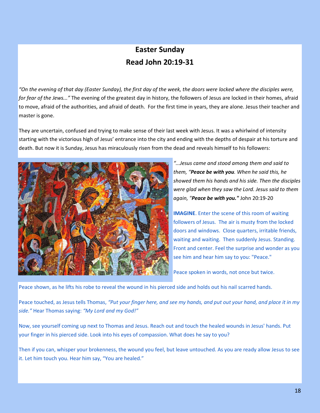## **Easter Sunday Read John 20:19-31**

*"On the evening of that day (Easter Sunday), the first day of the week, the doors were locked where the disciples were, for fear of the Jews..."* The evening of the greatest day in history, the followers of Jesus are locked in their homes, afraid to move, afraid of the authorities, and afraid of death. For the first time in years, they are alone. Jesus their teacher and master is gone.

They are uncertain, confused and trying to make sense of their last week with Jesus. It was a whirlwind of intensity starting with the victorious high of Jesus' entrance into the city and ending with the depths of despair at his torture and death. But now it is Sunday, Jesus has miraculously risen from the dead and reveals himself to his followers:



*"...Jesus came and stood among them and said to them, "Peace be with you. When he said this, he showed them his hands and his side. Then the disciples were glad when they saw the Lord. Jesus said to them again, "Peace be with you."* John 20:19-20

**IMAGINE**. Enter the scene of this room of waiting followers of Jesus. The air is musty from the locked doors and windows. Close quarters, irritable friends, waiting and waiting. Then suddenly Jesus. Standing. Front and center. Feel the surprise and wonder as you see him and hear him say to you: "Peace."

Peace spoken in words, not once but twice.

Peace shown, as he lifts his robe to reveal the wound in his pierced side and holds out his nail scarred hands.

Peace touched, as Jesus tells Thomas, *"Put your finger here, and see my hands, and put out your hand, and place it in my side."* Hear Thomas saying: *"My Lord and my God!"*

Now, see yourself coming up next to Thomas and Jesus. Reach out and touch the healed wounds in Jesus' hands. Put your finger in his pierced side. Look into his eyes of compassion. What does he say to you?

Then if you can, whisper your brokenness, the wound you feel, but leave untouched. As you are ready allow Jesus to see it. Let him touch you. Hear him say, "You are healed."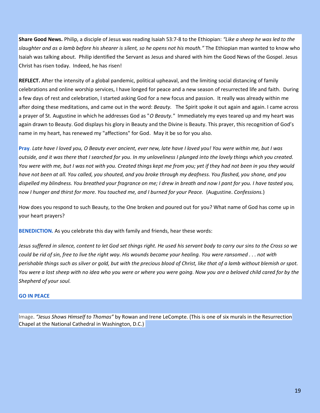**Share Good News.** Philip, a disciple of Jesus was reading Isaiah 53:7-8 to the Ethiopian: *"Like a sheep he was led to the slaughter and as a lamb before his shearer is silent, so he opens not his mouth."* The Ethiopian man wanted to know who Isaiah was talking about. Philip identified the Servant as Jesus and shared with him the Good News of the Gospel. Jesus Christ has risen today. Indeed, he has risen!

**REFLECT.** After the intensity of a global pandemic, political upheaval, and the limiting social distancing of family celebrations and online worship services, I have longed for peace and a new season of resurrected life and faith. During a few days of rest and celebration, I started asking God for a new focus and passion. It really was already within me after doing these meditations, and came out in the word: *Beauty.* The Spirit spoke it out again and again. I came across a prayer of St. Augustine in which he addresses God as "*O Beauty."* Immediately my eyes teared up and my heart was again drawn to Beauty. God displays his glory in Beauty and the Divine is Beauty. This prayer, this recognition of God's name in my heart, has renewed my "affections" for God. May it be so for you also.

**Pray**. *Late have I loved you, O Beauty ever ancient, ever new, late have I loved you! You were within me, but I was outside, and it was there that I searched for you. In my unloveliness I plunged into the lovely things which you created. You were with me, but I was not with you. Created things kept me from you; yet if they had not been in you they would have not been at all. You called, you shouted, and you broke through my deafness. You flashed, you shone, and you dispelled my blindness. You breathed your fragrance on me; I drew in breath and now I pant for you. I have tasted you, now I hunger and thirst for more. You touched me, and I burned for your Peace.* (Augustine. *Confessions.*)

How does you respond to such Beauty, to the One broken and poured out for you? What name of God has come up in your heart prayers?

**BENEDICTION.** As you celebrate this day with family and friends, hear these words:

*Jesus suffered in silence, content to let God set things right. He used his servant body to carry our sins to the Cross so we could be rid of sin, free to live the right way. His wounds became your healing. You were ransomed . . . not with perishable things such as silver or gold, but with the precious blood of Christ, like that of a lamb without blemish or spot. You were a lost sheep with no idea who you were or where you were going. Now you are a beloved child cared for by the Shepherd of your soul.*

#### **GO IN PEACE**

Image. *"Jesus Shows Himself to Thomas"* by Rowan and Irene LeCompte. (This is one of six murals in the Resurrection Chapel at the National Cathedral in Washington, D.C.)